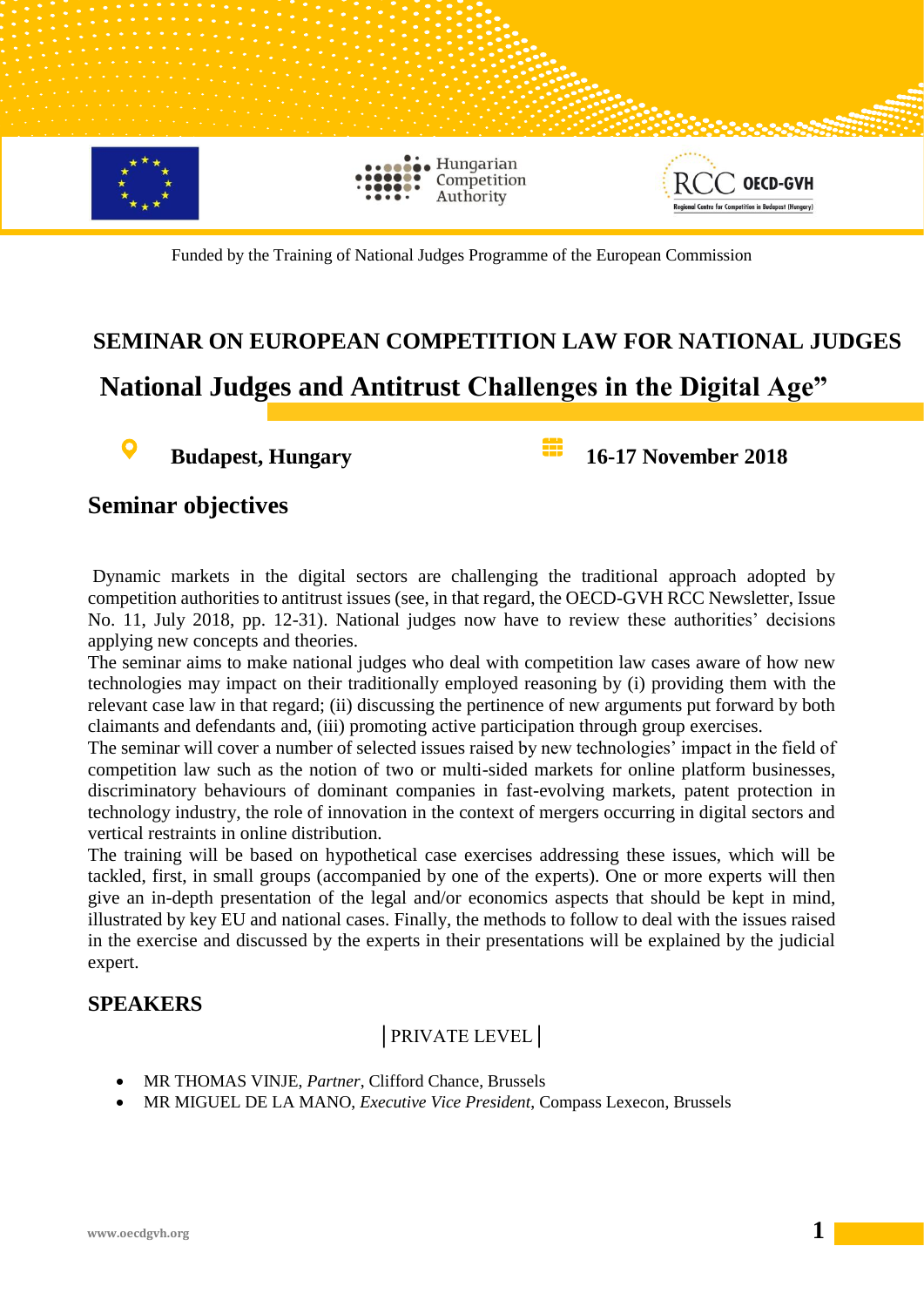

Funded by the Training of National Judges Programme of the European Commission

# **SEMINAR ON EUROPEAN COMPETITION LAW FOR NATIONAL JUDGES National Judges and Antitrust Challenges in the Digital Age"**

**Budapest, Hungary 16-17 November 2018** 

## **Seminar objectives**

Dynamic markets in the digital sectors are challenging the traditional approach adopted by competition authorities to antitrust issues (see, in that regard, the OECD-GVH RCC Newsletter, Issue No. 11, July 2018, pp. 12-31). National judges now have to review these authorities' decisions applying new concepts and theories.

The seminar aims to make national judges who deal with competition law cases aware of how new technologies may impact on their traditionally employed reasoning by (i) providing them with the relevant case law in that regard; (ii) discussing the pertinence of new arguments put forward by both claimants and defendants and, (iii) promoting active participation through group exercises.

The seminar will cover a number of selected issues raised by new technologies' impact in the field of competition law such as the notion of two or multi-sided markets for online platform businesses, discriminatory behaviours of dominant companies in fast-evolving markets, patent protection in technology industry, the role of innovation in the context of mergers occurring in digital sectors and vertical restraints in online distribution.

The training will be based on hypothetical case exercises addressing these issues, which will be tackled, first, in small groups (accompanied by one of the experts). One or more experts will then give an in-depth presentation of the legal and/or economics aspects that should be kept in mind, illustrated by key EU and national cases. Finally, the methods to follow to deal with the issues raised in the exercise and discussed by the experts in their presentations will be explained by the judicial expert.

### **SPEAKERS**

### │PRIVATE LEVEL│

- MR THOMAS VINJE, *Partner*, Clifford Chance, Brussels
- MR MIGUEL DE LA MANO, *Executive Vice President*, Compass Lexecon, Brussels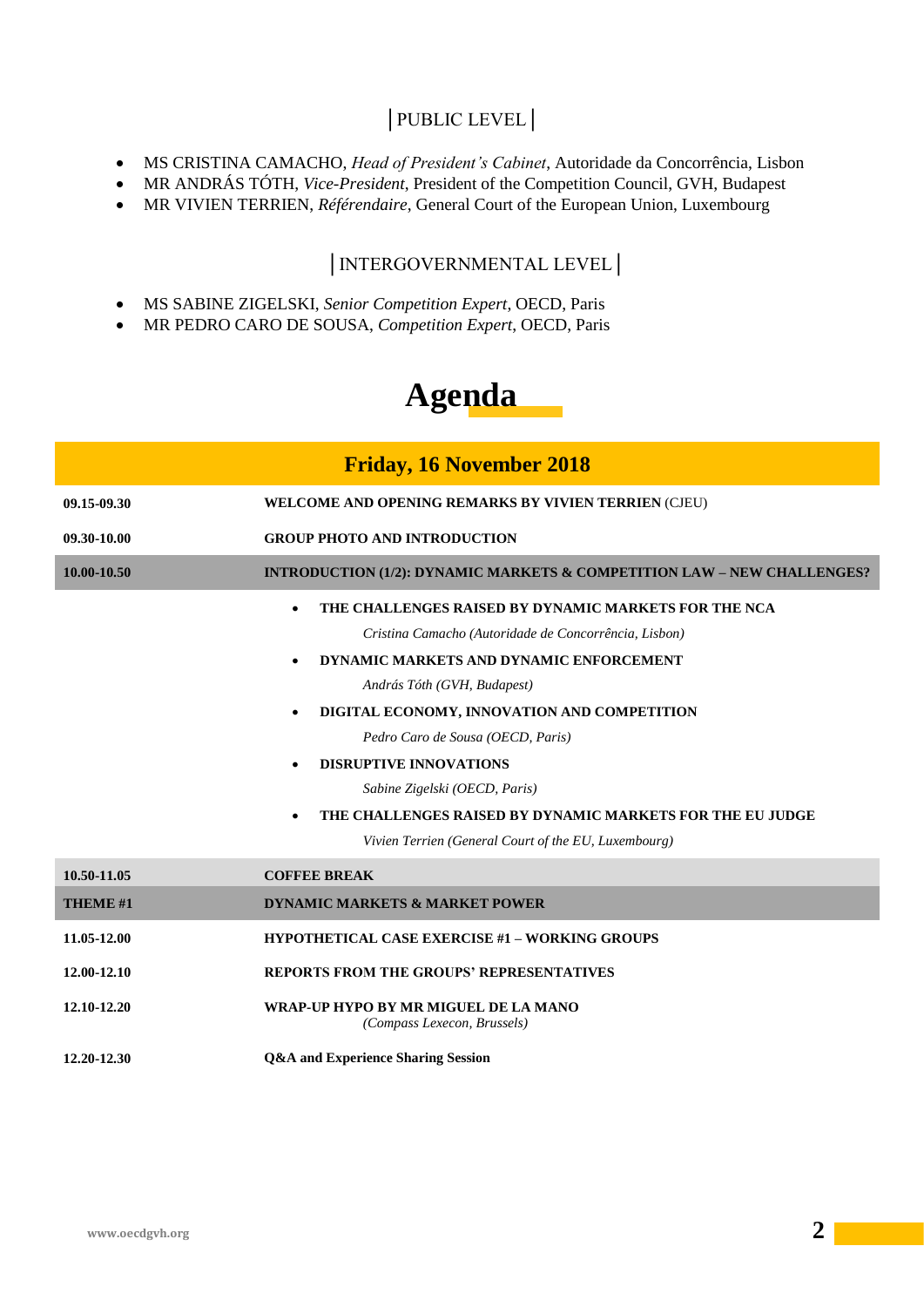## │PUBLIC LEVEL│

- MS CRISTINA CAMACHO, *Head of President's Cabinet*, Autoridade da Concorrência, Lisbon
- MR ANDRÁS TÓTH, *Vice-President*, President of the Competition Council, GVH, Budapest
- MR VIVIEN TERRIEN, *Référendaire*, General Court of the European Union, Luxembourg

## │INTERGOVERNMENTAL LEVEL│

- MS SABINE ZIGELSKI, *Senior Competition Expert*, OECD, Paris
- MR PEDRO CARO DE SOUSA, *Competition Expert*, OECD, Paris

## **Agenda**

|             | <b>Friday, 16 November 2018</b>                                                                                                                                                                                                                                                                                                                                                                                                                                    |
|-------------|--------------------------------------------------------------------------------------------------------------------------------------------------------------------------------------------------------------------------------------------------------------------------------------------------------------------------------------------------------------------------------------------------------------------------------------------------------------------|
| 09.15-09.30 | WELCOME AND OPENING REMARKS BY VIVIEN TERRIEN (CJEU)                                                                                                                                                                                                                                                                                                                                                                                                               |
| 09.30-10.00 | <b>GROUP PHOTO AND INTRODUCTION</b>                                                                                                                                                                                                                                                                                                                                                                                                                                |
| 10.00-10.50 | INTRODUCTION (1/2): DYNAMIC MARKETS & COMPETITION LAW - NEW CHALLENGES?                                                                                                                                                                                                                                                                                                                                                                                            |
|             | THE CHALLENGES RAISED BY DYNAMIC MARKETS FOR THE NCA<br>Cristina Camacho (Autoridade de Concorrência, Lisbon)<br>DYNAMIC MARKETS AND DYNAMIC ENFORCEMENT<br>András Tóth (GVH, Budapest)<br>DIGITAL ECONOMY, INNOVATION AND COMPETITION<br>Pedro Caro de Sousa (OECD, Paris)<br><b>DISRUPTIVE INNOVATIONS</b><br>Sabine Zigelski (OECD, Paris)<br>THE CHALLENGES RAISED BY DYNAMIC MARKETS FOR THE EU JUDGE<br>Vivien Terrien (General Court of the EU, Luxembourg) |
| 10.50-11.05 | <b>COFFEE BREAK</b>                                                                                                                                                                                                                                                                                                                                                                                                                                                |
| THEME#1     | <b>DYNAMIC MARKETS &amp; MARKET POWER</b>                                                                                                                                                                                                                                                                                                                                                                                                                          |
| 11.05-12.00 | <b>HYPOTHETICAL CASE EXERCISE #1 - WORKING GROUPS</b>                                                                                                                                                                                                                                                                                                                                                                                                              |
| 12.00-12.10 | <b>REPORTS FROM THE GROUPS' REPRESENTATIVES</b>                                                                                                                                                                                                                                                                                                                                                                                                                    |
| 12.10-12.20 | WRAP-UP HYPO BY MR MIGUEL DE LA MANO<br>(Compass Lexecon, Brussels)                                                                                                                                                                                                                                                                                                                                                                                                |
| 12.20-12.30 | <b>Q&amp;A</b> and Experience Sharing Session                                                                                                                                                                                                                                                                                                                                                                                                                      |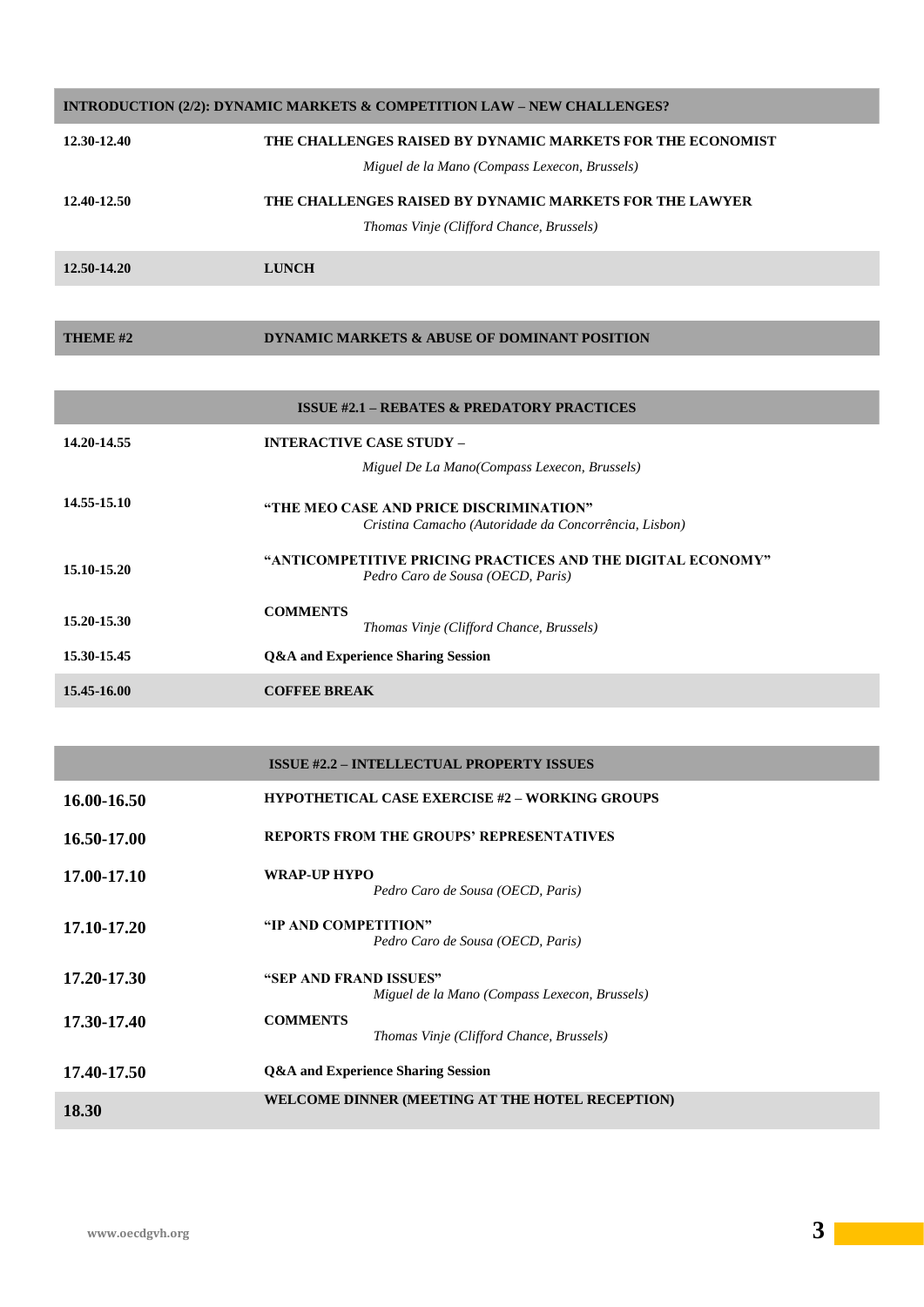| INTRODUCTION (2/2): DYNAMIC MARKETS & COMPETITION LAW - NEW CHALLENGES? |                                                                                                  |  |
|-------------------------------------------------------------------------|--------------------------------------------------------------------------------------------------|--|
| 12.30-12.40                                                             | THE CHALLENGES RAISED BY DYNAMIC MARKETS FOR THE ECONOMIST                                       |  |
|                                                                         | Miguel de la Mano (Compass Lexecon, Brussels)                                                    |  |
| 12.40-12.50                                                             | THE CHALLENGES RAISED BY DYNAMIC MARKETS FOR THE LAWYER                                          |  |
|                                                                         | Thomas Vinje (Clifford Chance, Brussels)                                                         |  |
| 12.50-14.20                                                             | <b>LUNCH</b>                                                                                     |  |
|                                                                         |                                                                                                  |  |
| THEME #2                                                                | <b>DYNAMIC MARKETS &amp; ABUSE OF DOMINANT POSITION</b>                                          |  |
|                                                                         |                                                                                                  |  |
|                                                                         | <b>ISSUE #2.1 - REBATES &amp; PREDATORY PRACTICES</b>                                            |  |
| 14.20-14.55                                                             | <b>INTERACTIVE CASE STUDY -</b>                                                                  |  |
|                                                                         | Miguel De La Mano(Compass Lexecon, Brussels)                                                     |  |
| 14.55-15.10                                                             | "THE MEO CASE AND PRICE DISCRIMINATION"<br>Cristina Camacho (Autoridade da Concorrência, Lisbon) |  |
|                                                                         |                                                                                                  |  |
| 15.10-15.20                                                             | "ANTICOMPETITIVE PRICING PRACTICES AND THE DIGITAL ECONOMY"<br>Pedro Caro de Sousa (OECD, Paris) |  |
| 15.20-15.30                                                             | <b>COMMENTS</b>                                                                                  |  |
|                                                                         | Thomas Vinje (Clifford Chance, Brussels)                                                         |  |

- **15.30-15.45 Q&A and Experience Sharing Session**
- **15.45-16.00 COFFEE BREAK**

#### **ISSUE #2.2 – INTELLECTUAL PROPERTY ISSUES**

| 16.00-16.50 | <b>HYPOTHETICAL CASE EXERCISE #2 – WORKING GROUPS</b>                   |
|-------------|-------------------------------------------------------------------------|
| 16.50-17.00 | <b>REPORTS FROM THE GROUPS' REPRESENTATIVES</b>                         |
| 17.00-17.10 | WRAP-UP HYPO<br>Pedro Caro de Sousa (OECD, Paris)                       |
| 17.10-17.20 | "IP AND COMPETITION"<br>Pedro Caro de Sousa (OECD, Paris)               |
| 17.20-17.30 | "SEP AND FRAND ISSUES"<br>Miguel de la Mano (Compass Lexecon, Brussels) |
| 17.30-17.40 | <b>COMMENTS</b><br>Thomas Vinje (Clifford Chance, Brussels)             |
| 17.40-17.50 | <b>Q&amp;A</b> and Experience Sharing Session                           |
| 18.30       | WELCOME DINNER (MEETING AT THE HOTEL RECEPTION)                         |